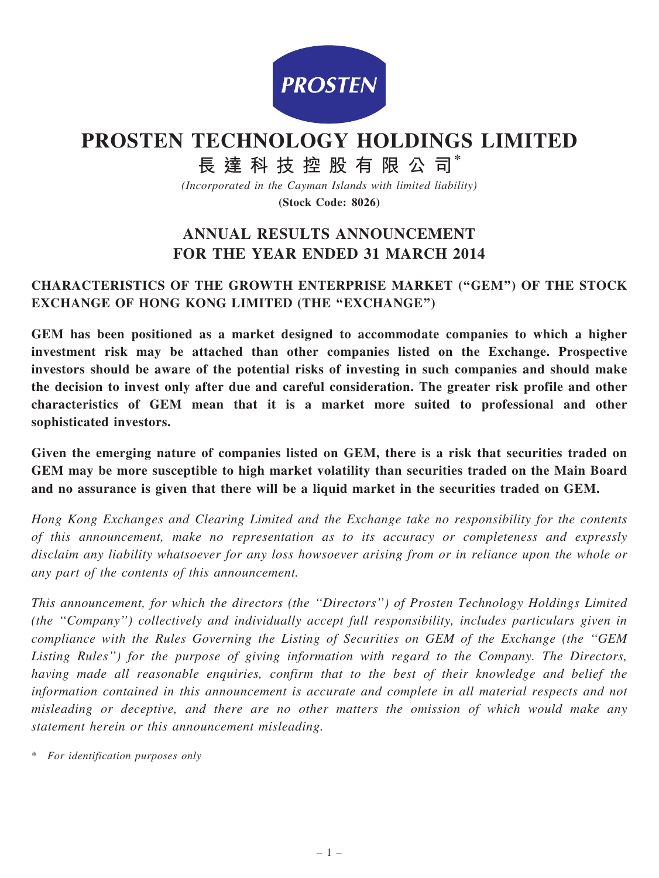

# PROSTEN TECHNOLOGY HOLDINGS LIMITED

長 達 科 技 控 股 有 限 公 司\*

(Incorporated in the Cayman Islands with limited liability)

(Stock Code: 8026)

# ANNUAL RESULTS ANNOUNCEMENT FOR THE YEAR ENDED 31 MARCH 2014

# CHARACTERISTICS OF THE GROWTH ENTERPRISE MARKET (''GEM'') OF THE STOCK EXCHANGE OF HONG KONG LIMITED (THE "EXCHANGE")

GEM has been positioned as a market designed to accommodate companies to which a higher investment risk may be attached than other companies listed on the Exchange. Prospective investors should be aware of the potential risks of investing in such companies and should make the decision to invest only after due and careful consideration. The greater risk profile and other characteristics of GEM mean that it is a market more suited to professional and other sophisticated investors.

Given the emerging nature of companies listed on GEM, there is a risk that securities traded on GEM may be more susceptible to high market volatility than securities traded on the Main Board and no assurance is given that there will be a liquid market in the securities traded on GEM.

Hong Kong Exchanges and Clearing Limited and the Exchange take no responsibility for the contents of this announcement, make no representation as to its accuracy or completeness and expressly disclaim any liability whatsoever for any loss howsoever arising from or in reliance upon the whole or any part of the contents of this announcement.

This announcement, for which the directors (the ''Directors'') of Prosten Technology Holdings Limited (the ''Company'') collectively and individually accept full responsibility, includes particulars given in compliance with the Rules Governing the Listing of Securities on GEM of the Exchange (the ''GEM Listing Rules'') for the purpose of giving information with regard to the Company. The Directors, having made all reasonable enquiries, confirm that to the best of their knowledge and belief the information contained in this announcement is accurate and complete in all material respects and not misleading or deceptive, and there are no other matters the omission of which would make any statement herein or this announcement misleading.

\* For identification purposes only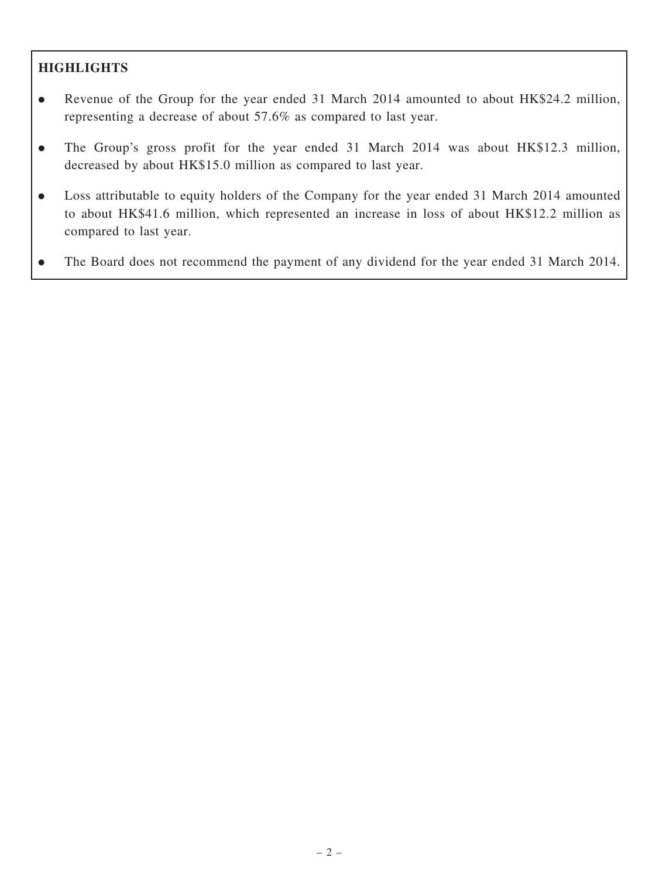# **HIGHLIGHTS**

- . Revenue of the Group for the year ended 31 March 2014 amounted to about HK\$24.2 million, representing a decrease of about 57.6% as compared to last year.
- . The Group's gross profit for the year ended 31 March 2014 was about HK\$12.3 million, decreased by about HK\$15.0 million as compared to last year.
- . Loss attributable to equity holders of the Company for the year ended 31 March 2014 amounted to about HK\$41.6 million, which represented an increase in loss of about HK\$12.2 million as compared to last year.
- . The Board does not recommend the payment of any dividend for the year ended 31 March 2014.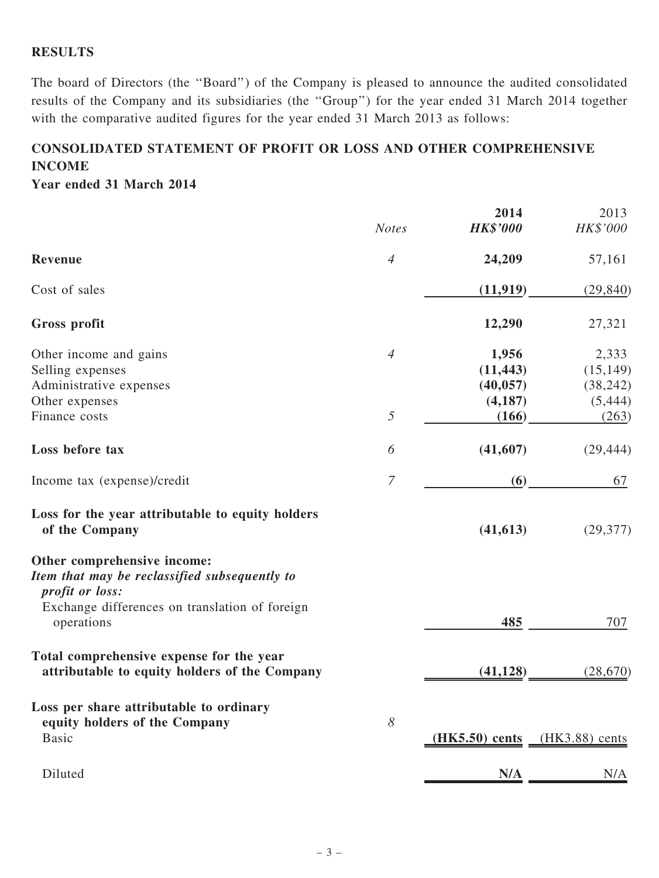# **RESULTS**

The board of Directors (the ''Board'') of the Company is pleased to announce the audited consolidated results of the Company and its subsidiaries (the ''Group'') for the year ended 31 March 2014 together with the comparative audited figures for the year ended 31 March 2013 as follows:

# CONSOLIDATED STATEMENT OF PROFIT OR LOSS AND OTHER COMPREHENSIVE INCOME

Year ended 31 March 2014

|                                                                                                                                                   | <b>Notes</b>   | 2014<br><b>HK\$'000</b>                     | 2013<br>HK\$'000                            |
|---------------------------------------------------------------------------------------------------------------------------------------------------|----------------|---------------------------------------------|---------------------------------------------|
| Revenue                                                                                                                                           | $\overline{4}$ | 24,209                                      | 57,161                                      |
| Cost of sales                                                                                                                                     |                | (11, 919)                                   | (29, 840)                                   |
| Gross profit                                                                                                                                      |                | 12,290                                      | 27,321                                      |
| Other income and gains<br>Selling expenses<br>Administrative expenses<br>Other expenses                                                           | $\overline{4}$ | 1,956<br>(11, 443)<br>(40, 057)<br>(4, 187) | 2,333<br>(15, 149)<br>(38, 242)<br>(5, 444) |
| Finance costs                                                                                                                                     | 5              | (166)                                       | (263)                                       |
| Loss before tax                                                                                                                                   | 6              | (41,607)                                    | (29, 444)                                   |
| Income tax (expense)/credit                                                                                                                       | $\overline{7}$ | (6)                                         | 67                                          |
| Loss for the year attributable to equity holders<br>of the Company                                                                                |                | (41, 613)                                   | (29, 377)                                   |
| Other comprehensive income:<br>Item that may be reclassified subsequently to<br>profit or loss:<br>Exchange differences on translation of foreign |                |                                             |                                             |
| operations                                                                                                                                        |                | 485                                         | 707                                         |
| Total comprehensive expense for the year<br>attributable to equity holders of the Company                                                         |                | (41, 128)                                   | (28, 670)                                   |
| Loss per share attributable to ordinary<br>equity holders of the Company<br><b>Basic</b>                                                          | 8              | $(HK5.50)$ cents                            | $(HK3.88)$ cents                            |
| Diluted                                                                                                                                           |                | N/A                                         | N/A                                         |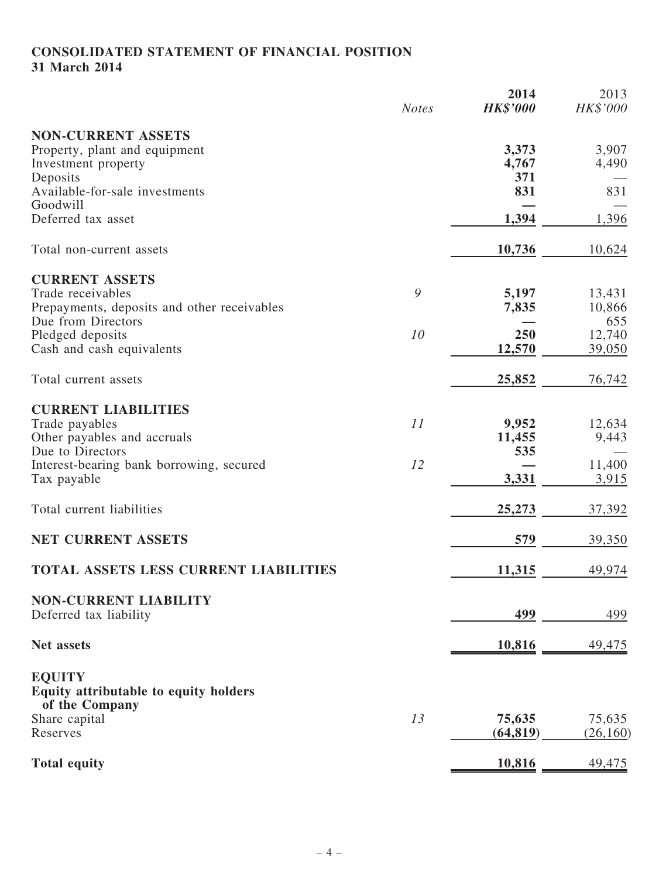# CONSOLIDATED STATEMENT OF FINANCIAL POSITION 31 March 2014

|                                              | <b>Notes</b> | 2014<br><b>HK\$'000</b> | 2013<br>HK\$'000 |
|----------------------------------------------|--------------|-------------------------|------------------|
| <b>NON-CURRENT ASSETS</b>                    |              |                         |                  |
| Property, plant and equipment                |              | 3,373                   | 3,907            |
| Investment property                          |              | 4,767                   | 4,490            |
| Deposits                                     |              | 371                     |                  |
| Available-for-sale investments               |              | 831                     | 831              |
| Goodwill<br>Deferred tax asset               |              | 1,394                   | 1,396            |
|                                              |              |                         |                  |
| Total non-current assets                     |              | 10,736                  | 10,624           |
| <b>CURRENT ASSETS</b>                        |              |                         |                  |
| Trade receivables                            | 9            | 5,197                   | 13,431           |
| Prepayments, deposits and other receivables  |              | 7,835                   | 10,866           |
| Due from Directors                           |              |                         | 655              |
| Pledged deposits                             | 10           | 250                     | 12,740           |
| Cash and cash equivalents                    |              | 12,570                  | 39,050           |
| Total current assets                         |              | 25,852                  | 76,742           |
| <b>CURRENT LIABILITIES</b>                   |              |                         |                  |
| Trade payables                               | 11           | 9,952                   | 12,634           |
| Other payables and accruals                  |              | 11,455                  | 9,443            |
| Due to Directors                             |              | 535                     |                  |
| Interest-bearing bank borrowing, secured     | 12           |                         | 11,400           |
| Tax payable                                  |              | 3,331                   | 3,915            |
| Total current liabilities                    |              | 25,273                  | 37,392           |
| NET CURRENT ASSETS                           |              | 579                     | 39,350           |
|                                              |              |                         |                  |
| <b>TOTAL ASSETS LESS CURRENT LIABILITIES</b> |              | 11,315                  | 49,974           |
| <b>NON-CURRENT LIABILITY</b>                 |              |                         |                  |
| Deferred tax liability                       |              | 499                     | 499              |
| Net assets                                   |              | 10,816                  | 49,475           |
| <b>EQUITY</b>                                |              |                         |                  |
| Equity attributable to equity holders        |              |                         |                  |
| of the Company                               |              |                         |                  |
| Share capital                                | 13           | 75,635                  | 75,635           |
| Reserves                                     |              | (64, 819)               | (26, 160)        |
|                                              |              |                         |                  |
| <b>Total equity</b>                          |              | 10,816                  | <u>49,475</u>    |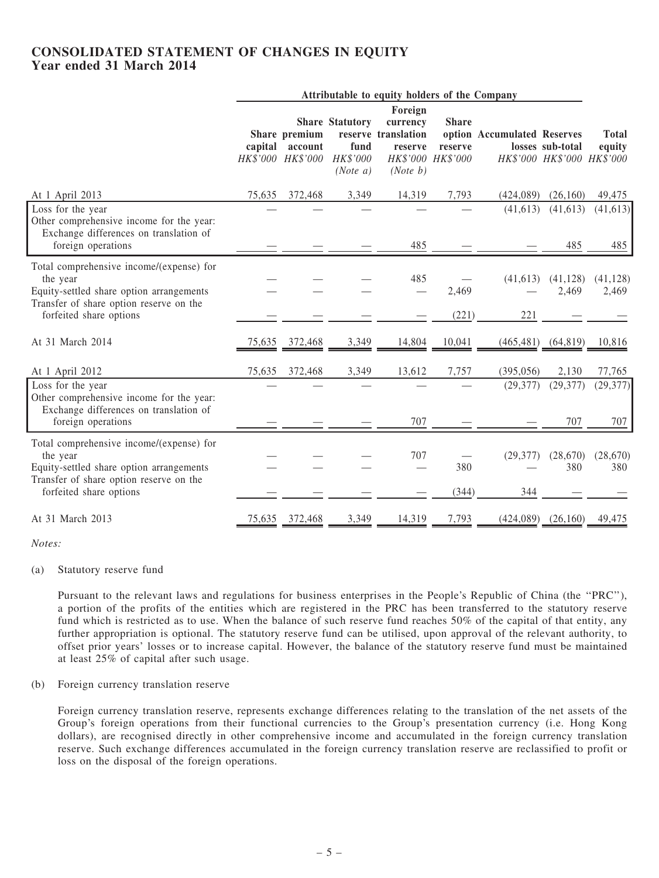## CONSOLIDATED STATEMENT OF CHANGES IN EQUITY Year ended 31 March 2014

|                                                                                                                                             | Attributable to equity holders of the Company |                                                       |                                                        |                                                                   |                                              |                             |                                                |                        |
|---------------------------------------------------------------------------------------------------------------------------------------------|-----------------------------------------------|-------------------------------------------------------|--------------------------------------------------------|-------------------------------------------------------------------|----------------------------------------------|-----------------------------|------------------------------------------------|------------------------|
|                                                                                                                                             |                                               | Share premium<br>capital account<br>HK\$'000 HK\$'000 | <b>Share Statutory</b><br>fund<br>HK\$'000<br>(Note a) | Foreign<br>currency<br>reserve translation<br>reserve<br>(Note b) | <b>Share</b><br>reserve<br>HK\$'000 HK\$'000 | option Accumulated Reserves | losses sub-total<br>HK\$'000 HK\$'000 HK\$'000 | <b>Total</b><br>equity |
| At 1 April 2013                                                                                                                             | 75,635                                        | 372,468                                               | 3,349                                                  | 14,319                                                            | 7,793                                        | (424,089)                   | (26,160)                                       | 49,475                 |
| Loss for the year<br>Other comprehensive income for the year:<br>Exchange differences on translation of                                     |                                               |                                                       |                                                        |                                                                   |                                              | (41, 613)                   | (41, 613)                                      | (41, 613)              |
| foreign operations                                                                                                                          |                                               |                                                       |                                                        | 485                                                               |                                              |                             | 485                                            | 485                    |
| Total comprehensive income/(expense) for<br>the year<br>Equity-settled share option arrangements<br>Transfer of share option reserve on the |                                               |                                                       |                                                        | 485                                                               | 2,469                                        | (41,613)                    | (41, 128)<br>2,469                             | (41, 128)<br>2,469     |
| forfeited share options                                                                                                                     |                                               |                                                       |                                                        |                                                                   | (221)                                        | 221                         |                                                |                        |
| At 31 March 2014                                                                                                                            | 75,635                                        | 372,468                                               | 3,349                                                  | 14,804                                                            | 10,041                                       | (465, 481)                  | (64, 819)                                      | 10,816                 |
| At 1 April 2012                                                                                                                             | 75,635                                        | 372,468                                               | 3,349                                                  | 13,612                                                            | 7,757                                        | (395, 056)                  | 2,130                                          | 77,765                 |
| Loss for the year<br>Other comprehensive income for the year:<br>Exchange differences on translation of                                     |                                               |                                                       |                                                        |                                                                   |                                              | (29, 377)                   | (29, 377)                                      | (29, 377)              |
| foreign operations                                                                                                                          |                                               |                                                       |                                                        | 707                                                               |                                              |                             | 707                                            | 707                    |
| Total comprehensive income/(expense) for<br>the year<br>Equity-settled share option arrangements<br>Transfer of share option reserve on the |                                               |                                                       |                                                        | 707                                                               | 380                                          | (29, 377)                   | (28,670)<br>380                                | (28, 670)<br>380       |
| forfeited share options                                                                                                                     |                                               |                                                       |                                                        |                                                                   | (344)                                        | 344                         |                                                |                        |
| At 31 March 2013                                                                                                                            | 75,635                                        | 372,468                                               | 3,349                                                  | 14,319                                                            | 7,793                                        |                             | $(424,089)$ $(26,160)$                         | 49,475                 |

Notes:

#### (a) Statutory reserve fund

Pursuant to the relevant laws and regulations for business enterprises in the People's Republic of China (the ''PRC''), a portion of the profits of the entities which are registered in the PRC has been transferred to the statutory reserve fund which is restricted as to use. When the balance of such reserve fund reaches 50% of the capital of that entity, any further appropriation is optional. The statutory reserve fund can be utilised, upon approval of the relevant authority, to offset prior years' losses or to increase capital. However, the balance of the statutory reserve fund must be maintained at least 25% of capital after such usage.

(b) Foreign currency translation reserve

Foreign currency translation reserve, represents exchange differences relating to the translation of the net assets of the Group's foreign operations from their functional currencies to the Group's presentation currency (i.e. Hong Kong dollars), are recognised directly in other comprehensive income and accumulated in the foreign currency translation reserve. Such exchange differences accumulated in the foreign currency translation reserve are reclassified to profit or loss on the disposal of the foreign operations.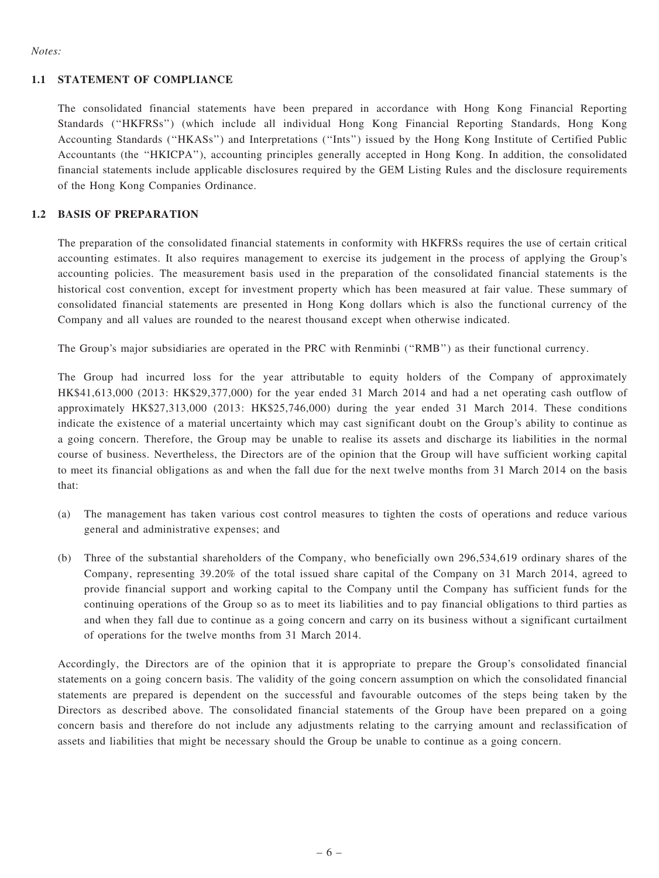#### Notes:

#### 1.1 STATEMENT OF COMPLIANCE

The consolidated financial statements have been prepared in accordance with Hong Kong Financial Reporting Standards (''HKFRSs'') (which include all individual Hong Kong Financial Reporting Standards, Hong Kong Accounting Standards (''HKASs'') and Interpretations (''Ints'') issued by the Hong Kong Institute of Certified Public Accountants (the ''HKICPA''), accounting principles generally accepted in Hong Kong. In addition, the consolidated financial statements include applicable disclosures required by the GEM Listing Rules and the disclosure requirements of the Hong Kong Companies Ordinance.

#### 1.2 BASIS OF PREPARATION

The preparation of the consolidated financial statements in conformity with HKFRSs requires the use of certain critical accounting estimates. It also requires management to exercise its judgement in the process of applying the Group's accounting policies. The measurement basis used in the preparation of the consolidated financial statements is the historical cost convention, except for investment property which has been measured at fair value. These summary of consolidated financial statements are presented in Hong Kong dollars which is also the functional currency of the Company and all values are rounded to the nearest thousand except when otherwise indicated.

The Group's major subsidiaries are operated in the PRC with Renminbi (''RMB'') as their functional currency.

The Group had incurred loss for the year attributable to equity holders of the Company of approximately HK\$41,613,000 (2013: HK\$29,377,000) for the year ended 31 March 2014 and had a net operating cash outflow of approximately HK\$27,313,000 (2013: HK\$25,746,000) during the year ended 31 March 2014. These conditions indicate the existence of a material uncertainty which may cast significant doubt on the Group's ability to continue as a going concern. Therefore, the Group may be unable to realise its assets and discharge its liabilities in the normal course of business. Nevertheless, the Directors are of the opinion that the Group will have sufficient working capital to meet its financial obligations as and when the fall due for the next twelve months from 31 March 2014 on the basis that:

- (a) The management has taken various cost control measures to tighten the costs of operations and reduce various general and administrative expenses; and
- (b) Three of the substantial shareholders of the Company, who beneficially own 296,534,619 ordinary shares of the Company, representing 39.20% of the total issued share capital of the Company on 31 March 2014, agreed to provide financial support and working capital to the Company until the Company has sufficient funds for the continuing operations of the Group so as to meet its liabilities and to pay financial obligations to third parties as and when they fall due to continue as a going concern and carry on its business without a significant curtailment of operations for the twelve months from 31 March 2014.

Accordingly, the Directors are of the opinion that it is appropriate to prepare the Group's consolidated financial statements on a going concern basis. The validity of the going concern assumption on which the consolidated financial statements are prepared is dependent on the successful and favourable outcomes of the steps being taken by the Directors as described above. The consolidated financial statements of the Group have been prepared on a going concern basis and therefore do not include any adjustments relating to the carrying amount and reclassification of assets and liabilities that might be necessary should the Group be unable to continue as a going concern.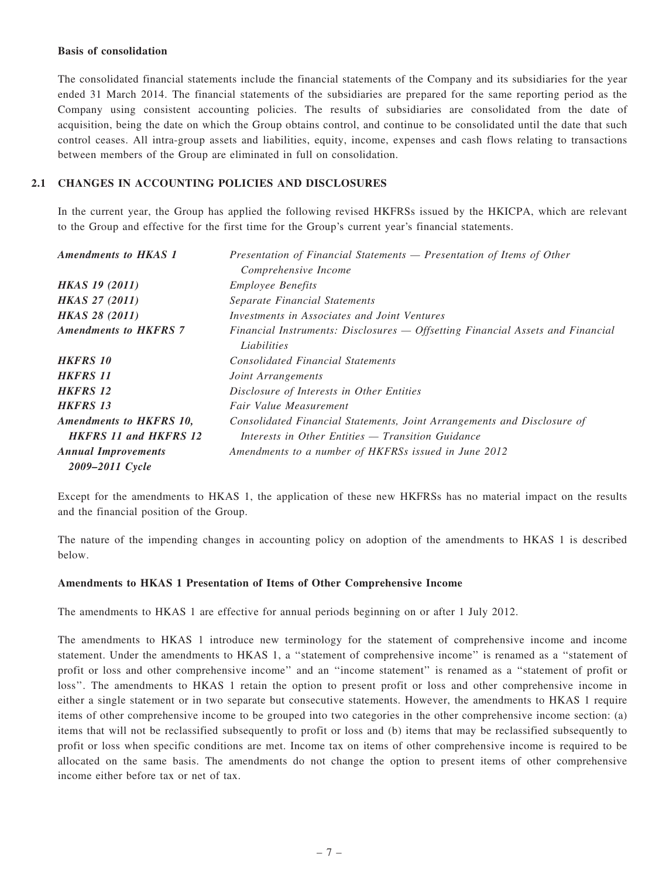#### Basis of consolidation

The consolidated financial statements include the financial statements of the Company and its subsidiaries for the year ended 31 March 2014. The financial statements of the subsidiaries are prepared for the same reporting period as the Company using consistent accounting policies. The results of subsidiaries are consolidated from the date of acquisition, being the date on which the Group obtains control, and continue to be consolidated until the date that such control ceases. All intra-group assets and liabilities, equity, income, expenses and cash flows relating to transactions between members of the Group are eliminated in full on consolidation.

#### 2.1 CHANGES IN ACCOUNTING POLICIES AND DISCLOSURES

In the current year, the Group has applied the following revised HKFRSs issued by the HKICPA, which are relevant to the Group and effective for the first time for the Group's current year's financial statements.

| <b>Amendments to HKAS 1</b>         | Presentation of Financial Statements — Presentation of Items of Other          |
|-------------------------------------|--------------------------------------------------------------------------------|
|                                     | Comprehensive Income                                                           |
| <b>HKAS 19 (2011)</b>               | <i>Employee Benefits</i>                                                       |
| <b>HKAS 27 (2011)</b>               | Separate Financial Statements                                                  |
| <b>HKAS 28 (2011)</b>               | Investments in Associates and Joint Ventures                                   |
| <b>Amendments to HKFRS 7</b>        | Financial Instruments: Disclosures — Offsetting Financial Assets and Financial |
|                                     | Liabilities                                                                    |
| <b>HKFRS 10</b>                     | <b>Consolidated Financial Statements</b>                                       |
| <b>HKFRS 11</b>                     | <i>Joint Arrangements</i>                                                      |
| <b>HKFRS 12</b>                     | Disclosure of Interests in Other Entities                                      |
| <b>HKFRS 13</b>                     | Fair Value Measurement                                                         |
| <b>Amendments to HKFRS 10,</b>      | Consolidated Financial Statements, Joint Arrangements and Disclosure of        |
| <b>HKFRS</b> 11 and <b>HKFRS</b> 12 | Interests in Other Entities — Transition Guidance                              |
| <b>Annual Improvements</b>          | Amendments to a number of HKFRSs issued in June 2012                           |
| 2009–2011 Cycle                     |                                                                                |

Except for the amendments to HKAS 1, the application of these new HKFRSs has no material impact on the results and the financial position of the Group.

The nature of the impending changes in accounting policy on adoption of the amendments to HKAS 1 is described below.

#### Amendments to HKAS 1 Presentation of Items of Other Comprehensive Income

The amendments to HKAS 1 are effective for annual periods beginning on or after 1 July 2012.

The amendments to HKAS 1 introduce new terminology for the statement of comprehensive income and income statement. Under the amendments to HKAS 1, a ''statement of comprehensive income'' is renamed as a ''statement of profit or loss and other comprehensive income'' and an ''income statement'' is renamed as a ''statement of profit or loss''. The amendments to HKAS 1 retain the option to present profit or loss and other comprehensive income in either a single statement or in two separate but consecutive statements. However, the amendments to HKAS 1 require items of other comprehensive income to be grouped into two categories in the other comprehensive income section: (a) items that will not be reclassified subsequently to profit or loss and (b) items that may be reclassified subsequently to profit or loss when specific conditions are met. Income tax on items of other comprehensive income is required to be allocated on the same basis. The amendments do not change the option to present items of other comprehensive income either before tax or net of tax.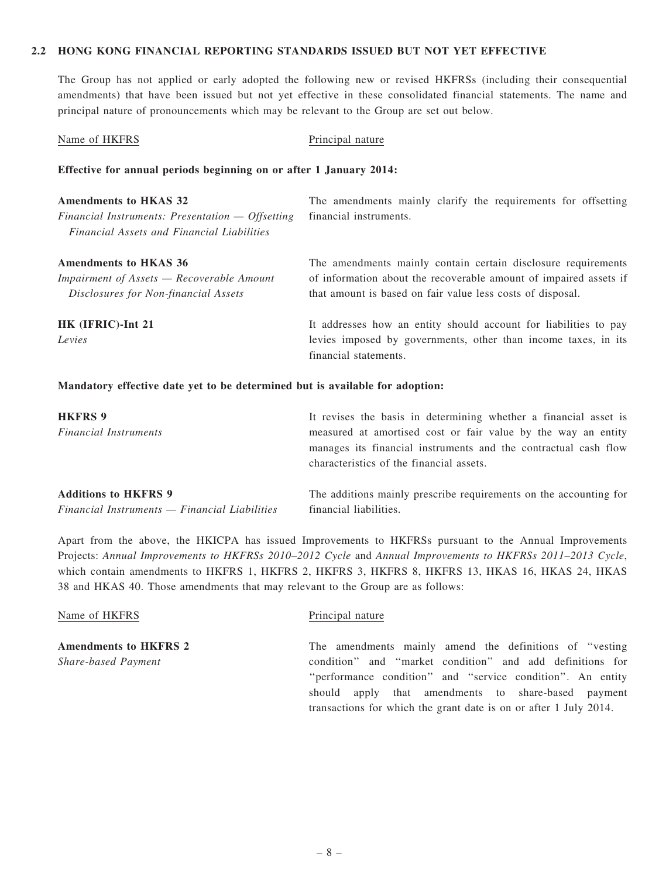#### 2.2 HONG KONG FINANCIAL REPORTING STANDARDS ISSUED BUT NOT YET EFFECTIVE

The Group has not applied or early adopted the following new or revised HKFRSs (including their consequential amendments) that have been issued but not yet effective in these consolidated financial statements. The name and principal nature of pronouncements which may be relevant to the Group are set out below.

| Name of HKFRS                                                                                                                           | Principal nature                                                                                                                                                                                 |
|-----------------------------------------------------------------------------------------------------------------------------------------|--------------------------------------------------------------------------------------------------------------------------------------------------------------------------------------------------|
| Effective for annual periods beginning on or after 1 January 2014:                                                                      |                                                                                                                                                                                                  |
| <b>Amendments to HKAS 32</b><br>Financial Instruments: Presentation $-$ Offsetting<br><b>Financial Assets and Financial Liabilities</b> | The amendments mainly clarify the requirements for offsetting<br>financial instruments.                                                                                                          |
| <b>Amendments to HKAS 36</b><br>Impairment of Assets - Recoverable Amount<br>Disclosures for Non-financial Assets                       | The amendments mainly contain certain disclosure requirements<br>of information about the recoverable amount of impaired assets if<br>that amount is based on fair value less costs of disposal. |
| HK (IFRIC)-Int 21<br>Levies                                                                                                             | It addresses how an entity should account for liabilities to pay<br>levies imposed by governments, other than income taxes, in its<br>financial statements.                                      |

#### Mandatory effective date yet to be determined but is available for adoption:

| <b>HKFRS 9</b>                                | It revises the basis in determining whether a financial asset is                                                                 |
|-----------------------------------------------|----------------------------------------------------------------------------------------------------------------------------------|
| <b>Financial Instruments</b>                  | measured at amortised cost or fair value by the way an entity<br>manages its financial instruments and the contractual cash flow |
|                                               | characteristics of the financial assets.                                                                                         |
| <b>Additions to HKFRS 9</b>                   | The additions mainly prescribe requirements on the accounting for                                                                |
| Financial Instruments — Financial Liabilities | financial liabilities.                                                                                                           |

Apart from the above, the HKICPA has issued Improvements to HKFRSs pursuant to the Annual Improvements Projects: Annual Improvements to HKFRSs 2010–2012 Cycle and Annual Improvements to HKFRSs 2011–2013 Cycle, which contain amendments to HKFRS 1, HKFRS 2, HKFRS 3, HKFRS 8, HKFRS 13, HKAS 16, HKAS 24, HKAS 38 and HKAS 40. Those amendments that may relevant to the Group are as follows:

| Name of HKFRS                | Principal nature                                                  |
|------------------------------|-------------------------------------------------------------------|
| <b>Amendments to HKFRS 2</b> | The amendments mainly amend the definitions of "vesting"          |
| <b>Share-based Payment</b>   | condition" and "market condition" and add definitions for         |
|                              | "performance condition" and "service condition". An entity        |
|                              | should apply that amendments to share-based payment               |
|                              | transactions for which the grant date is on or after 1 July 2014. |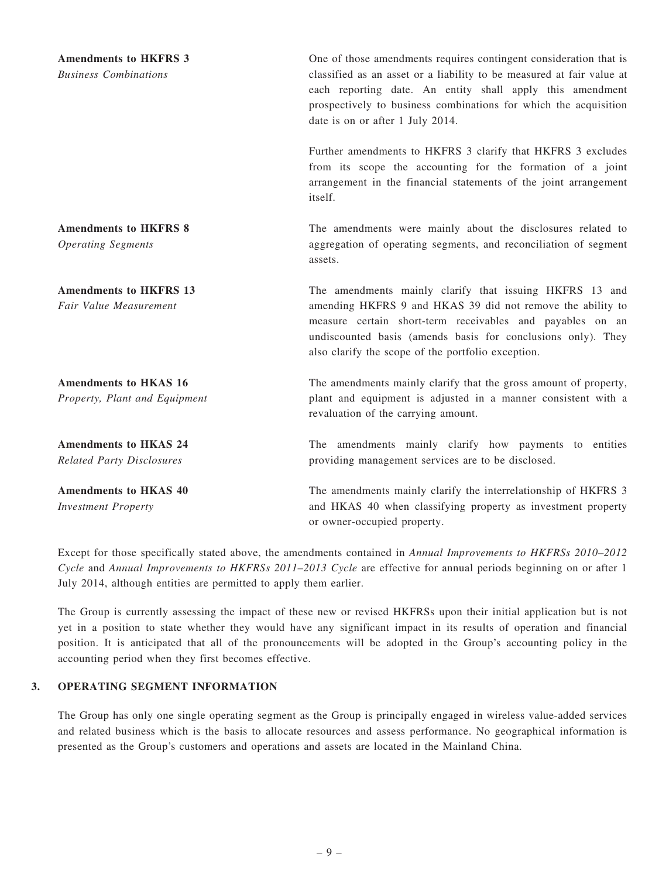| <b>Amendments to HKFRS 3</b><br><b>Business Combinations</b> | One of those amendments requires contingent consideration that is<br>classified as an asset or a liability to be measured at fair value at<br>each reporting date. An entity shall apply this amendment<br>prospectively to business combinations for which the acquisition<br>date is on or after 1 July 2014. |
|--------------------------------------------------------------|-----------------------------------------------------------------------------------------------------------------------------------------------------------------------------------------------------------------------------------------------------------------------------------------------------------------|
|                                                              | Further amendments to HKFRS 3 clarify that HKFRS 3 excludes<br>from its scope the accounting for the formation of a joint<br>arrangement in the financial statements of the joint arrangement<br>itself.                                                                                                        |
| <b>Amendments to HKFRS 8</b>                                 | The amendments were mainly about the disclosures related to                                                                                                                                                                                                                                                     |
| <b>Operating Segments</b>                                    | aggregation of operating segments, and reconciliation of segment<br>assets.                                                                                                                                                                                                                                     |
| <b>Amendments to HKFRS 13</b>                                | The amendments mainly clarify that issuing HKFRS 13 and                                                                                                                                                                                                                                                         |
| Fair Value Measurement                                       | amending HKFRS 9 and HKAS 39 did not remove the ability to<br>measure certain short-term receivables and payables on an<br>undiscounted basis (amends basis for conclusions only). They<br>also clarify the scope of the portfolio exception.                                                                   |
| <b>Amendments to HKAS 16</b>                                 | The amendments mainly clarify that the gross amount of property,                                                                                                                                                                                                                                                |
| Property, Plant and Equipment                                | plant and equipment is adjusted in a manner consistent with a<br>revaluation of the carrying amount.                                                                                                                                                                                                            |
| <b>Amendments to HKAS 24</b>                                 | The amendments mainly clarify how payments to entities                                                                                                                                                                                                                                                          |
| <b>Related Party Disclosures</b>                             | providing management services are to be disclosed.                                                                                                                                                                                                                                                              |
| <b>Amendments to HKAS 40</b><br><b>Investment Property</b>   | The amendments mainly clarify the interrelationship of HKFRS 3<br>and HKAS 40 when classifying property as investment property<br>or owner-occupied property.                                                                                                                                                   |

Except for those specifically stated above, the amendments contained in Annual Improvements to HKFRSs 2010–2012 Cycle and Annual Improvements to HKFRSs 2011–2013 Cycle are effective for annual periods beginning on or after 1 July 2014, although entities are permitted to apply them earlier.

The Group is currently assessing the impact of these new or revised HKFRSs upon their initial application but is not yet in a position to state whether they would have any significant impact in its results of operation and financial position. It is anticipated that all of the pronouncements will be adopted in the Group's accounting policy in the accounting period when they first becomes effective.

#### 3. OPERATING SEGMENT INFORMATION

The Group has only one single operating segment as the Group is principally engaged in wireless value-added services and related business which is the basis to allocate resources and assess performance. No geographical information is presented as the Group's customers and operations and assets are located in the Mainland China.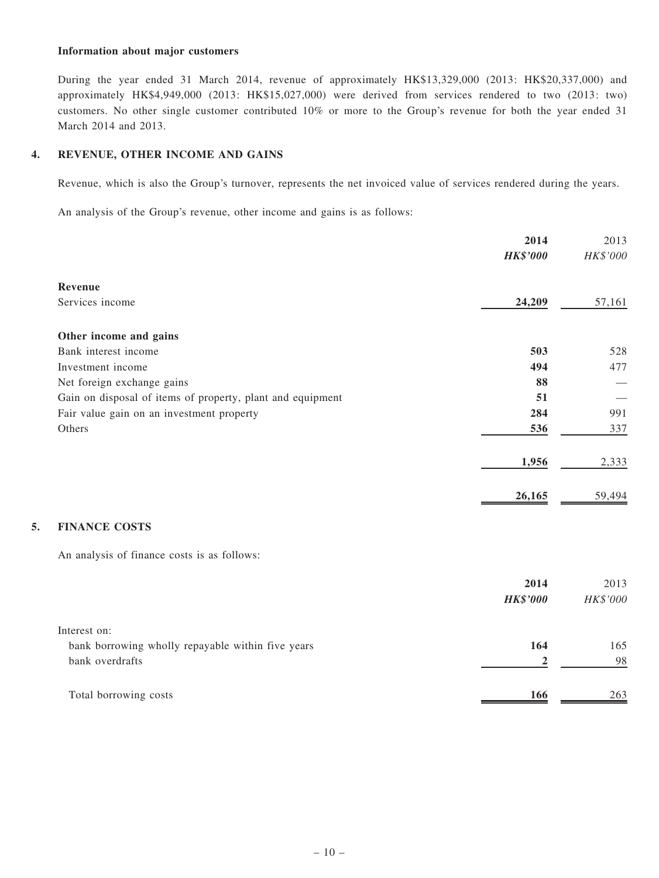#### Information about major customers

During the year ended 31 March 2014, revenue of approximately HK\$13,329,000 (2013: HK\$20,337,000) and approximately HK\$4,949,000 (2013: HK\$15,027,000) were derived from services rendered to two (2013: two) customers. No other single customer contributed 10% or more to the Group's revenue for both the year ended 31 March 2014 and 2013.

#### 4. REVENUE, OTHER INCOME AND GAINS

Revenue, which is also the Group's turnover, represents the net invoiced value of services rendered during the years.

An analysis of the Group's revenue, other income and gains is as follows:

|                                                            | 2014             | 2013     |
|------------------------------------------------------------|------------------|----------|
|                                                            | <b>HK\$'000</b>  | HK\$'000 |
| Revenue                                                    |                  |          |
| Services income                                            | 24,209           | 57,161   |
| Other income and gains                                     |                  |          |
| Bank interest income                                       | 503              | 528      |
| Investment income                                          | 494              | 477      |
| Net foreign exchange gains                                 | 88               |          |
| Gain on disposal of items of property, plant and equipment | 51               |          |
| Fair value gain on an investment property                  | 284              | 991      |
| Others                                                     | 536              | 337      |
|                                                            | 1,956            | 2,333    |
|                                                            | 26,165           | 59,494   |
|                                                            |                  |          |
| <b>FINANCE COSTS</b><br>5.                                 |                  |          |
| An analysis of finance costs is as follows:                |                  |          |
|                                                            | 2014             | 2013     |
|                                                            | <b>HK\$'000</b>  | HK\$'000 |
| Interest on:                                               |                  |          |
| bank borrowing wholly repayable within five years          | 164              | 165      |
| bank overdrafts                                            | $\boldsymbol{2}$ | 98       |
| Total borrowing costs                                      | 166              | 263      |
|                                                            |                  |          |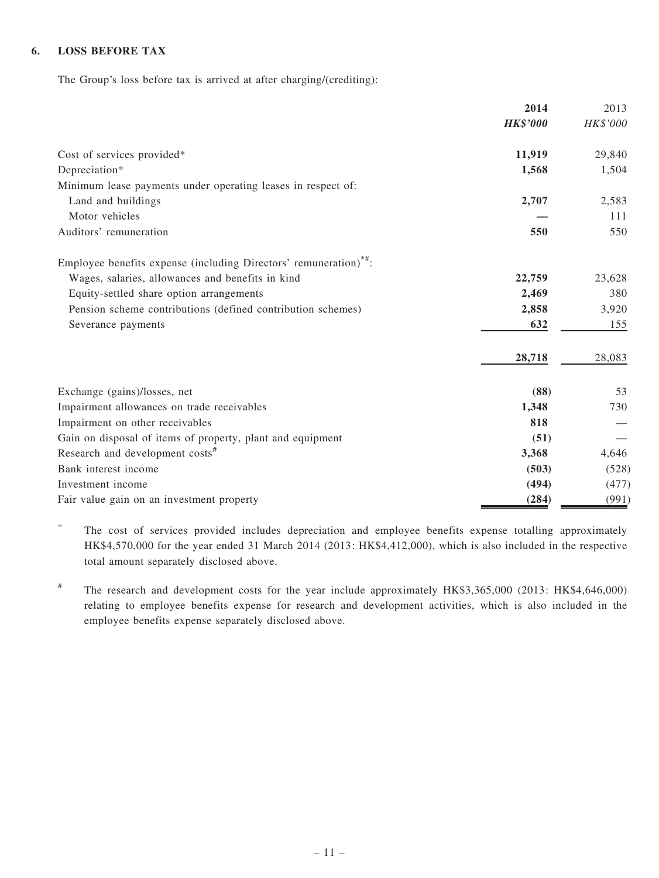### 6. LOSS BEFORE TAX

The Group's loss before tax is arrived at after charging/(crediting):

|                                                                               | 2014            | 2013     |
|-------------------------------------------------------------------------------|-----------------|----------|
|                                                                               | <b>HK\$'000</b> | HK\$'000 |
| Cost of services provided*                                                    | 11,919          | 29,840   |
| Depreciation*                                                                 | 1,568           | 1,504    |
| Minimum lease payments under operating leases in respect of:                  |                 |          |
| Land and buildings                                                            | 2,707           | 2,583    |
| Motor vehicles                                                                |                 | 111      |
| Auditors' remuneration                                                        | 550             | 550      |
| Employee benefits expense (including Directors' remuneration) <sup>*#</sup> : |                 |          |
| Wages, salaries, allowances and benefits in kind                              | 22,759          | 23,628   |
| Equity-settled share option arrangements                                      | 2,469           | 380      |
| Pension scheme contributions (defined contribution schemes)                   | 2,858           | 3,920    |
| Severance payments                                                            | 632             | 155      |
|                                                                               | 28,718          | 28,083   |
| Exchange (gains)/losses, net                                                  | (88)            | 53       |
| Impairment allowances on trade receivables                                    | 1,348           | 730      |
| Impairment on other receivables                                               | 818             |          |
| Gain on disposal of items of property, plant and equipment                    | (51)            |          |
| Research and development costs <sup>#</sup>                                   | 3,368           | 4,646    |
| Bank interest income                                                          | (503)           | (528)    |
| Investment income                                                             | (494)           | (477)    |
| Fair value gain on an investment property                                     | (284)           | (991)    |

\* The cost of services provided includes depreciation and employee benefits expense totalling approximately HK\$4,570,000 for the year ended 31 March 2014 (2013: HK\$4,412,000), which is also included in the respective total amount separately disclosed above.

# The research and development costs for the year include approximately HK\$3,365,000 (2013: HK\$4,646,000) relating to employee benefits expense for research and development activities, which is also included in the employee benefits expense separately disclosed above.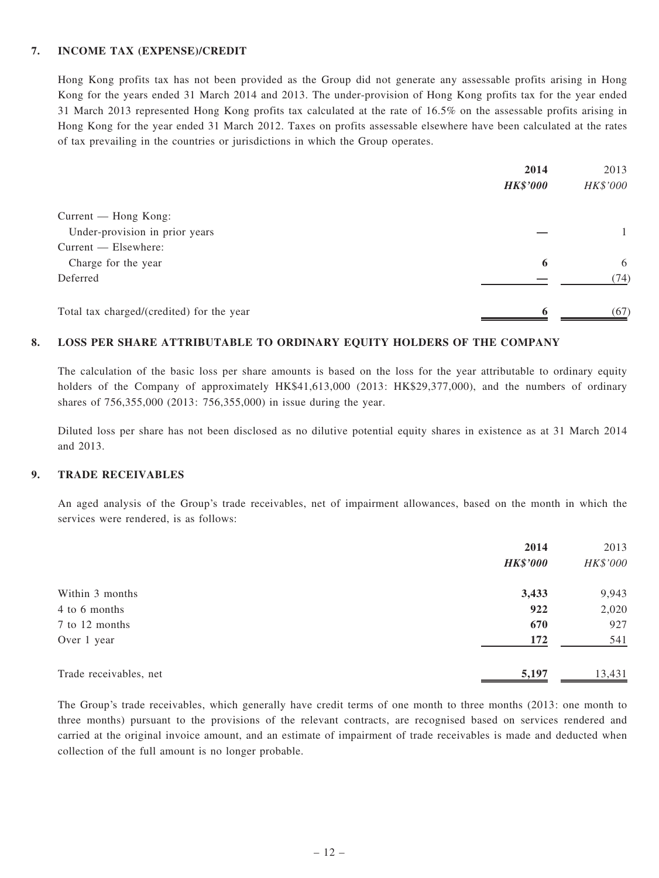#### 7. INCOME TAX (EXPENSE)/CREDIT

Hong Kong profits tax has not been provided as the Group did not generate any assessable profits arising in Hong Kong for the years ended 31 March 2014 and 2013. The under-provision of Hong Kong profits tax for the year ended 31 March 2013 represented Hong Kong profits tax calculated at the rate of 16.5% on the assessable profits arising in Hong Kong for the year ended 31 March 2012. Taxes on profits assessable elsewhere have been calculated at the rates of tax prevailing in the countries or jurisdictions in which the Group operates.

|                                           | 2014            | 2013     |
|-------------------------------------------|-----------------|----------|
|                                           | <b>HK\$'000</b> | HK\$'000 |
| Current — Hong Kong:                      |                 |          |
| Under-provision in prior years            |                 | 1        |
| Current — Elsewhere:                      |                 |          |
| Charge for the year                       | 6               | 6        |
| Deferred                                  |                 | (74)     |
| Total tax charged/(credited) for the year |                 | (67)     |

#### 8. LOSS PER SHARE ATTRIBUTABLE TO ORDINARY EQUITY HOLDERS OF THE COMPANY

The calculation of the basic loss per share amounts is based on the loss for the year attributable to ordinary equity holders of the Company of approximately HK\$41,613,000 (2013: HK\$29,377,000), and the numbers of ordinary shares of 756,355,000 (2013: 756,355,000) in issue during the year.

Diluted loss per share has not been disclosed as no dilutive potential equity shares in existence as at 31 March 2014 and 2013.

#### 9. TRADE RECEIVABLES

An aged analysis of the Group's trade receivables, net of impairment allowances, based on the month in which the services were rendered, is as follows:

|                        | 2014            | 2013     |
|------------------------|-----------------|----------|
|                        | <b>HK\$'000</b> | HK\$'000 |
| Within 3 months        | 3,433           | 9,943    |
| 4 to 6 months          | 922             | 2,020    |
| 7 to 12 months         | 670             | 927      |
| Over 1 year            | 172             | 541      |
| Trade receivables, net | 5,197           | 13,431   |

The Group's trade receivables, which generally have credit terms of one month to three months (2013: one month to three months) pursuant to the provisions of the relevant contracts, are recognised based on services rendered and carried at the original invoice amount, and an estimate of impairment of trade receivables is made and deducted when collection of the full amount is no longer probable.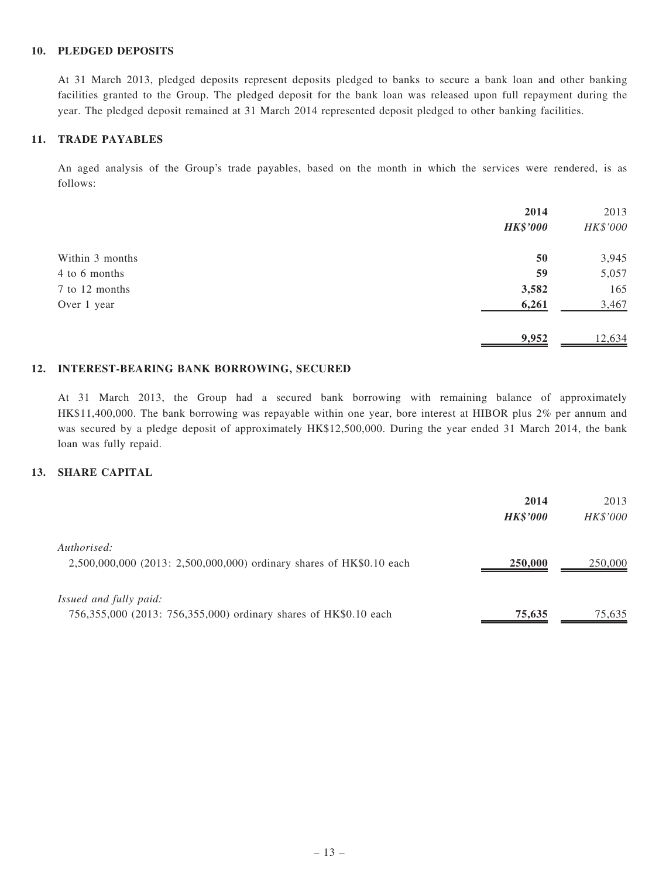#### 10. PLEDGED DEPOSITS

At 31 March 2013, pledged deposits represent deposits pledged to banks to secure a bank loan and other banking facilities granted to the Group. The pledged deposit for the bank loan was released upon full repayment during the year. The pledged deposit remained at 31 March 2014 represented deposit pledged to other banking facilities.

### 11. TRADE PAYABLES

An aged analysis of the Group's trade payables, based on the month in which the services were rendered, is as follows:

|                 | 2014<br><b>HK\$'000</b> | 2013<br>HK\$'000 |
|-----------------|-------------------------|------------------|
| Within 3 months | 50                      | 3,945            |
| 4 to 6 months   | 59                      | 5,057            |
| 7 to 12 months  | 3,582                   | 165              |
| Over 1 year     | 6,261                   | 3,467            |
|                 | 9,952                   | 12,634           |

#### 12. INTEREST-BEARING BANK BORROWING, SECURED

At 31 March 2013, the Group had a secured bank borrowing with remaining balance of approximately HK\$11,400,000. The bank borrowing was repayable within one year, bore interest at HIBOR plus 2% per annum and was secured by a pledge deposit of approximately HK\$12,500,000. During the year ended 31 March 2014, the bank loan was fully repaid.

#### 13. SHARE CAPITAL

|                                                                      | 2014            | 2013     |
|----------------------------------------------------------------------|-----------------|----------|
|                                                                      | <b>HK\$'000</b> | HK\$'000 |
| Authorised:                                                          |                 |          |
| 2,500,000,000 (2013: 2,500,000,000) ordinary shares of HK\$0.10 each | 250,000         | 250,000  |
|                                                                      |                 |          |
| Issued and fully paid:                                               |                 |          |
| 756,355,000 (2013: 756,355,000) ordinary shares of HK\$0.10 each     | 75,635          | 75,635   |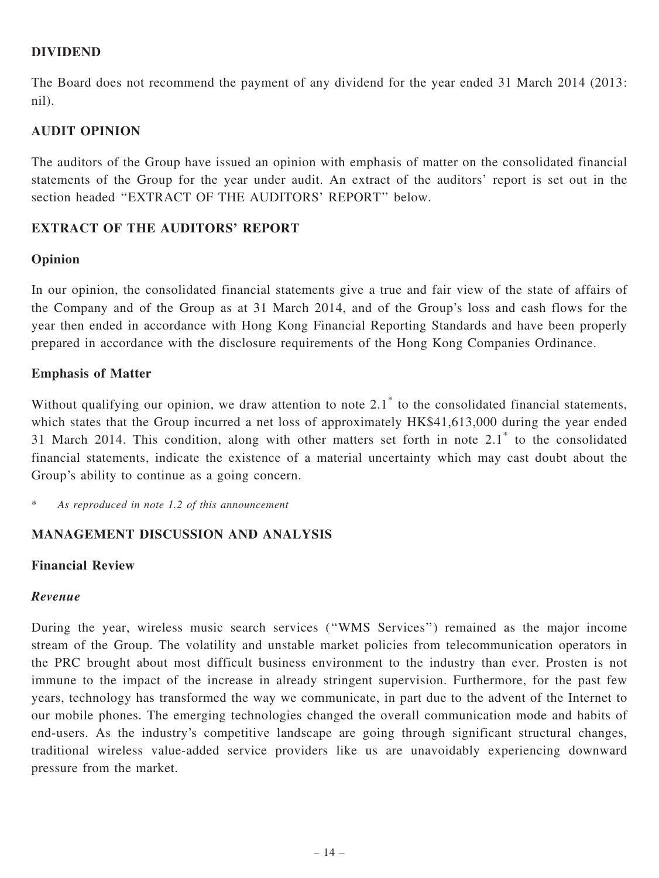## DIVIDEND

The Board does not recommend the payment of any dividend for the year ended 31 March 2014 (2013: nil).

# AUDIT OPINION

The auditors of the Group have issued an opinion with emphasis of matter on the consolidated financial statements of the Group for the year under audit. An extract of the auditors' report is set out in the section headed "EXTRACT OF THE AUDITORS' REPORT" below.

# EXTRACT OF THE AUDITORS' REPORT

## Opinion

In our opinion, the consolidated financial statements give a true and fair view of the state of affairs of the Company and of the Group as at 31 March 2014, and of the Group's loss and cash flows for the year then ended in accordance with Hong Kong Financial Reporting Standards and have been properly prepared in accordance with the disclosure requirements of the Hong Kong Companies Ordinance.

## Emphasis of Matter

Without qualifying our opinion, we draw attention to note 2.1<sup>\*</sup> to the consolidated financial statements, which states that the Group incurred a net loss of approximately HK\$41,613,000 during the year ended 31 March 2014. This condition, along with other matters set forth in note 2.1\* to the consolidated financial statements, indicate the existence of a material uncertainty which may cast doubt about the Group's ability to continue as a going concern.

\* As reproduced in note 1.2 of this announcement

# MANAGEMENT DISCUSSION AND ANALYSIS

## Financial Review

## Revenue

During the year, wireless music search services (''WMS Services'') remained as the major income stream of the Group. The volatility and unstable market policies from telecommunication operators in the PRC brought about most difficult business environment to the industry than ever. Prosten is not immune to the impact of the increase in already stringent supervision. Furthermore, for the past few years, technology has transformed the way we communicate, in part due to the advent of the Internet to our mobile phones. The emerging technologies changed the overall communication mode and habits of end-users. As the industry's competitive landscape are going through significant structural changes, traditional wireless value-added service providers like us are unavoidably experiencing downward pressure from the market.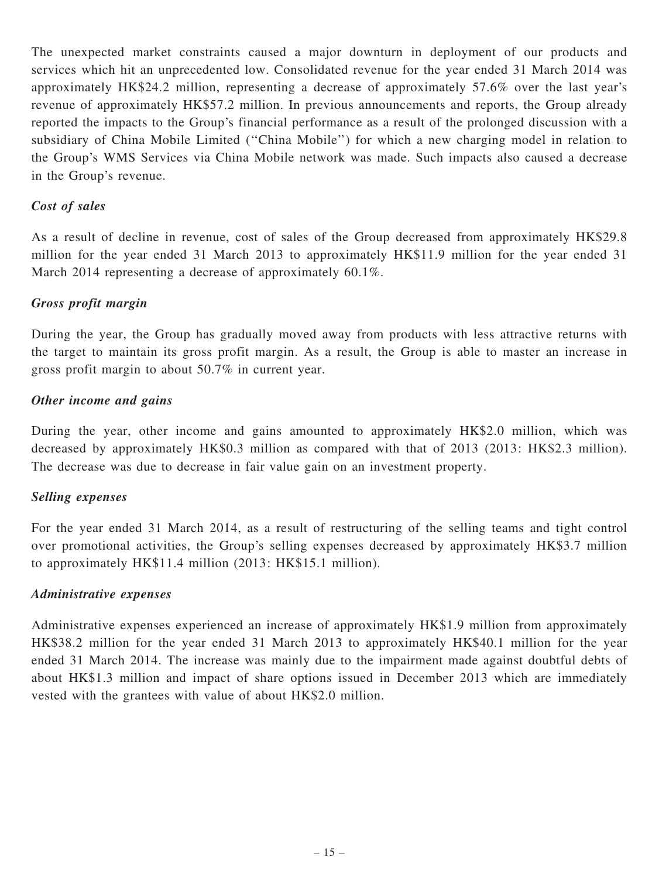The unexpected market constraints caused a major downturn in deployment of our products and services which hit an unprecedented low. Consolidated revenue for the year ended 31 March 2014 was approximately HK\$24.2 million, representing a decrease of approximately 57.6% over the last year's revenue of approximately HK\$57.2 million. In previous announcements and reports, the Group already reported the impacts to the Group's financial performance as a result of the prolonged discussion with a subsidiary of China Mobile Limited (''China Mobile'') for which a new charging model in relation to the Group's WMS Services via China Mobile network was made. Such impacts also caused a decrease in the Group's revenue.

# Cost of sales

As a result of decline in revenue, cost of sales of the Group decreased from approximately HK\$29.8 million for the year ended 31 March 2013 to approximately HK\$11.9 million for the year ended 31 March 2014 representing a decrease of approximately 60.1%.

## Gross profit margin

During the year, the Group has gradually moved away from products with less attractive returns with the target to maintain its gross profit margin. As a result, the Group is able to master an increase in gross profit margin to about 50.7% in current year.

## Other income and gains

During the year, other income and gains amounted to approximately HK\$2.0 million, which was decreased by approximately HK\$0.3 million as compared with that of 2013 (2013: HK\$2.3 million). The decrease was due to decrease in fair value gain on an investment property.

## Selling expenses

For the year ended 31 March 2014, as a result of restructuring of the selling teams and tight control over promotional activities, the Group's selling expenses decreased by approximately HK\$3.7 million to approximately HK\$11.4 million (2013: HK\$15.1 million).

## Administrative expenses

Administrative expenses experienced an increase of approximately HK\$1.9 million from approximately HK\$38.2 million for the year ended 31 March 2013 to approximately HK\$40.1 million for the year ended 31 March 2014. The increase was mainly due to the impairment made against doubtful debts of about HK\$1.3 million and impact of share options issued in December 2013 which are immediately vested with the grantees with value of about HK\$2.0 million.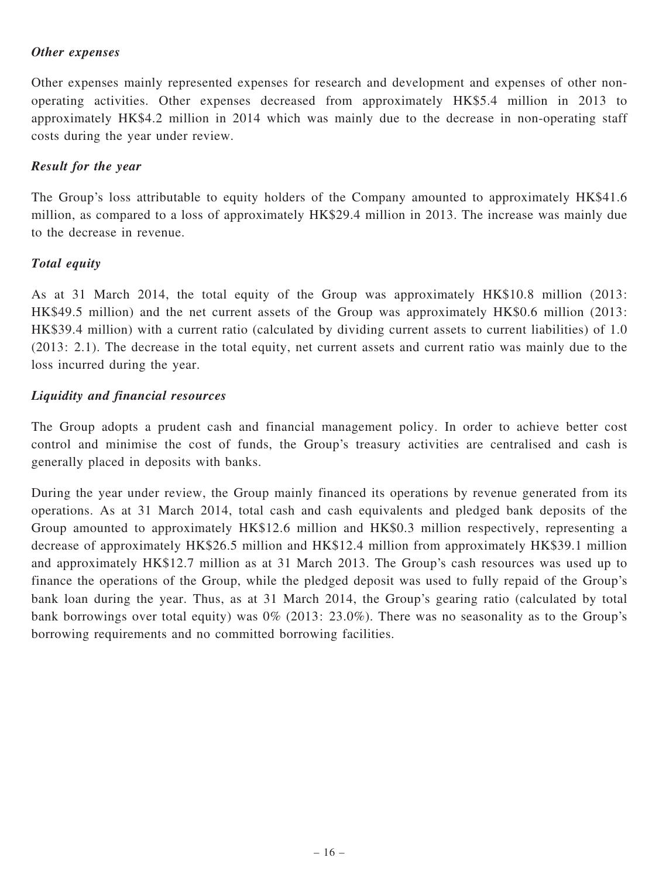## Other expenses

Other expenses mainly represented expenses for research and development and expenses of other nonoperating activities. Other expenses decreased from approximately HK\$5.4 million in 2013 to approximately HK\$4.2 million in 2014 which was mainly due to the decrease in non-operating staff costs during the year under review.

## Result for the year

The Group's loss attributable to equity holders of the Company amounted to approximately HK\$41.6 million, as compared to a loss of approximately HK\$29.4 million in 2013. The increase was mainly due to the decrease in revenue.

# Total equity

As at 31 March 2014, the total equity of the Group was approximately HK\$10.8 million (2013: HK\$49.5 million) and the net current assets of the Group was approximately HK\$0.6 million (2013: HK\$39.4 million) with a current ratio (calculated by dividing current assets to current liabilities) of 1.0 (2013: 2.1). The decrease in the total equity, net current assets and current ratio was mainly due to the loss incurred during the year.

# Liquidity and financial resources

The Group adopts a prudent cash and financial management policy. In order to achieve better cost control and minimise the cost of funds, the Group's treasury activities are centralised and cash is generally placed in deposits with banks.

During the year under review, the Group mainly financed its operations by revenue generated from its operations. As at 31 March 2014, total cash and cash equivalents and pledged bank deposits of the Group amounted to approximately HK\$12.6 million and HK\$0.3 million respectively, representing a decrease of approximately HK\$26.5 million and HK\$12.4 million from approximately HK\$39.1 million and approximately HK\$12.7 million as at 31 March 2013. The Group's cash resources was used up to finance the operations of the Group, while the pledged deposit was used to fully repaid of the Group's bank loan during the year. Thus, as at 31 March 2014, the Group's gearing ratio (calculated by total bank borrowings over total equity) was 0% (2013: 23.0%). There was no seasonality as to the Group's borrowing requirements and no committed borrowing facilities.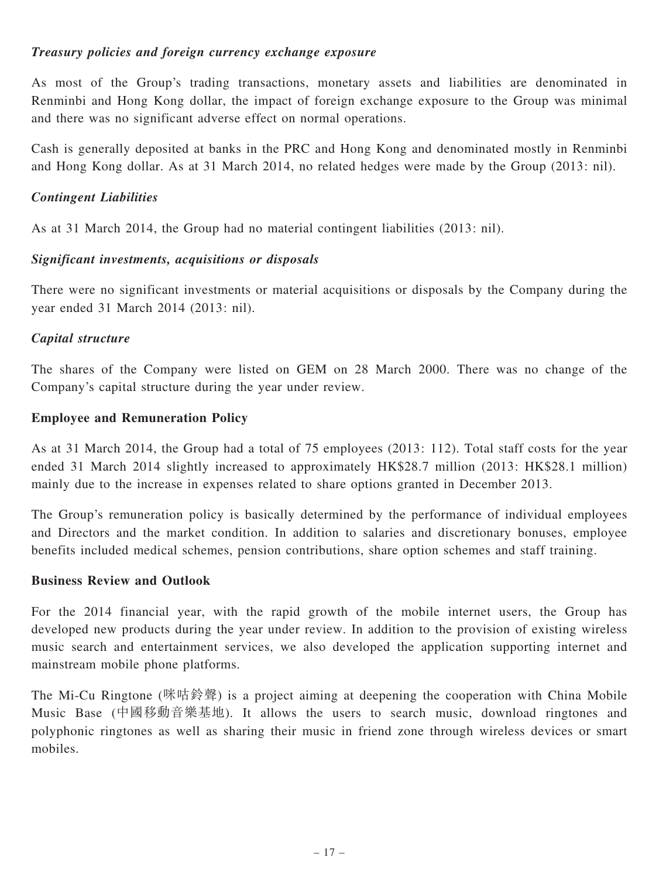# Treasury policies and foreign currency exchange exposure

As most of the Group's trading transactions, monetary assets and liabilities are denominated in Renminbi and Hong Kong dollar, the impact of foreign exchange exposure to the Group was minimal and there was no significant adverse effect on normal operations.

Cash is generally deposited at banks in the PRC and Hong Kong and denominated mostly in Renminbi and Hong Kong dollar. As at 31 March 2014, no related hedges were made by the Group (2013: nil).

## Contingent Liabilities

As at 31 March 2014, the Group had no material contingent liabilities (2013: nil).

## Significant investments, acquisitions or disposals

There were no significant investments or material acquisitions or disposals by the Company during the year ended 31 March 2014 (2013: nil).

## Capital structure

The shares of the Company were listed on GEM on 28 March 2000. There was no change of the Company's capital structure during the year under review.

## Employee and Remuneration Policy

As at 31 March 2014, the Group had a total of 75 employees (2013: 112). Total staff costs for the year ended 31 March 2014 slightly increased to approximately HK\$28.7 million (2013: HK\$28.1 million) mainly due to the increase in expenses related to share options granted in December 2013.

The Group's remuneration policy is basically determined by the performance of individual employees and Directors and the market condition. In addition to salaries and discretionary bonuses, employee benefits included medical schemes, pension contributions, share option schemes and staff training.

## Business Review and Outlook

For the 2014 financial year, with the rapid growth of the mobile internet users, the Group has developed new products during the year under review. In addition to the provision of existing wireless music search and entertainment services, we also developed the application supporting internet and mainstream mobile phone platforms.

The Mi-Cu Ringtone (咪咕鈴聲) is a project aiming at deepening the cooperation with China Mobile Music Base (中國移動音樂基地). It allows the users to search music, download ringtones and polyphonic ringtones as well as sharing their music in friend zone through wireless devices or smart mobiles.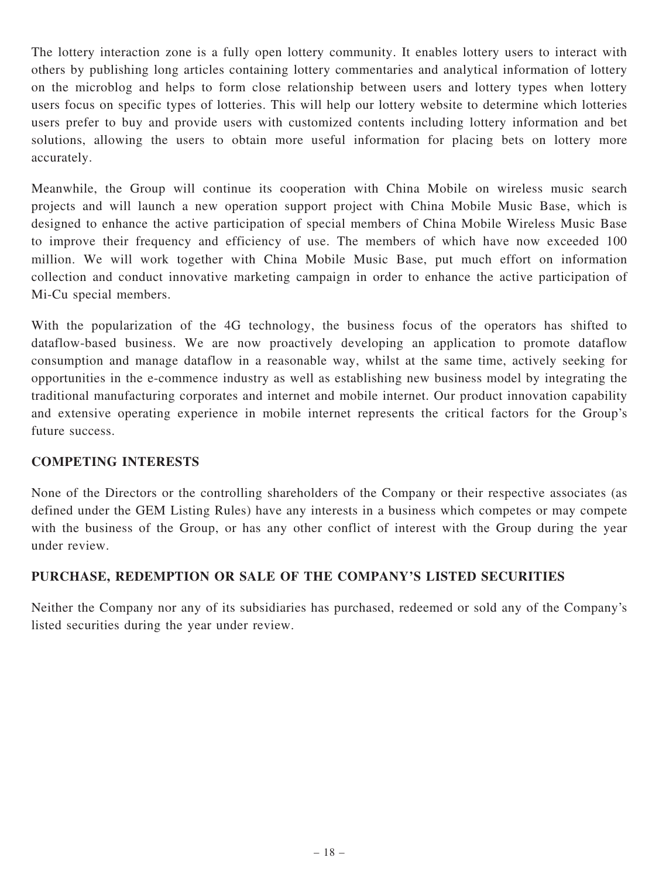The lottery interaction zone is a fully open lottery community. It enables lottery users to interact with others by publishing long articles containing lottery commentaries and analytical information of lottery on the microblog and helps to form close relationship between users and lottery types when lottery users focus on specific types of lotteries. This will help our lottery website to determine which lotteries users prefer to buy and provide users with customized contents including lottery information and bet solutions, allowing the users to obtain more useful information for placing bets on lottery more accurately.

Meanwhile, the Group will continue its cooperation with China Mobile on wireless music search projects and will launch a new operation support project with China Mobile Music Base, which is designed to enhance the active participation of special members of China Mobile Wireless Music Base to improve their frequency and efficiency of use. The members of which have now exceeded 100 million. We will work together with China Mobile Music Base, put much effort on information collection and conduct innovative marketing campaign in order to enhance the active participation of Mi-Cu special members.

With the popularization of the 4G technology, the business focus of the operators has shifted to dataflow-based business. We are now proactively developing an application to promote dataflow consumption and manage dataflow in a reasonable way, whilst at the same time, actively seeking for opportunities in the e-commence industry as well as establishing new business model by integrating the traditional manufacturing corporates and internet and mobile internet. Our product innovation capability and extensive operating experience in mobile internet represents the critical factors for the Group's future success.

# COMPETING INTERESTS

None of the Directors or the controlling shareholders of the Company or their respective associates (as defined under the GEM Listing Rules) have any interests in a business which competes or may compete with the business of the Group, or has any other conflict of interest with the Group during the year under review.

# PURCHASE, REDEMPTION OR SALE OF THE COMPANY'S LISTED SECURITIES

Neither the Company nor any of its subsidiaries has purchased, redeemed or sold any of the Company's listed securities during the year under review.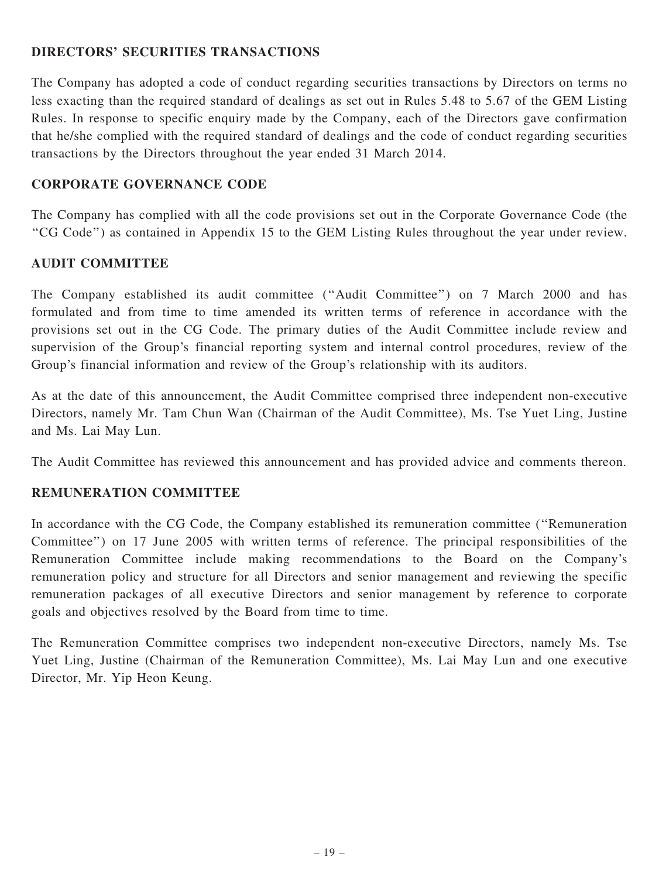# DIRECTORS' SECURITIES TRANSACTIONS

The Company has adopted a code of conduct regarding securities transactions by Directors on terms no less exacting than the required standard of dealings as set out in Rules 5.48 to 5.67 of the GEM Listing Rules. In response to specific enquiry made by the Company, each of the Directors gave confirmation that he/she complied with the required standard of dealings and the code of conduct regarding securities transactions by the Directors throughout the year ended 31 March 2014.

# CORPORATE GOVERNANCE CODE

The Company has complied with all the code provisions set out in the Corporate Governance Code (the ''CG Code'') as contained in Appendix 15 to the GEM Listing Rules throughout the year under review.

# AUDIT COMMITTEE

The Company established its audit committee (''Audit Committee'') on 7 March 2000 and has formulated and from time to time amended its written terms of reference in accordance with the provisions set out in the CG Code. The primary duties of the Audit Committee include review and supervision of the Group's financial reporting system and internal control procedures, review of the Group's financial information and review of the Group's relationship with its auditors.

As at the date of this announcement, the Audit Committee comprised three independent non-executive Directors, namely Mr. Tam Chun Wan (Chairman of the Audit Committee), Ms. Tse Yuet Ling, Justine and Ms. Lai May Lun.

The Audit Committee has reviewed this announcement and has provided advice and comments thereon.

# REMUNERATION COMMITTEE

In accordance with the CG Code, the Company established its remuneration committee (''Remuneration Committee'') on 17 June 2005 with written terms of reference. The principal responsibilities of the Remuneration Committee include making recommendations to the Board on the Company's remuneration policy and structure for all Directors and senior management and reviewing the specific remuneration packages of all executive Directors and senior management by reference to corporate goals and objectives resolved by the Board from time to time.

The Remuneration Committee comprises two independent non-executive Directors, namely Ms. Tse Yuet Ling, Justine (Chairman of the Remuneration Committee), Ms. Lai May Lun and one executive Director, Mr. Yip Heon Keung.